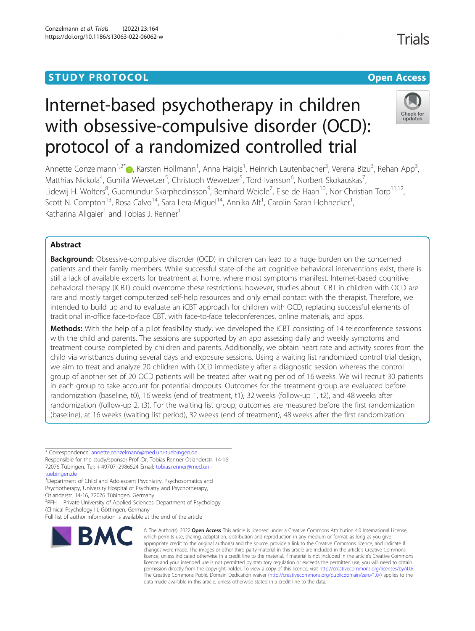# **STUDY PROTOCOL CONSUMING THE CONSUMING OPEN ACCESS**

# Internet-based psychotherapy in children with obsessive-compulsive disorder (OCD): protocol of a randomized controlled trial

Annette Conzelmann<sup>1[,](http://orcid.org/0000-0001-8084-741X)2\*</sup>®, Karsten Hollmann<sup>1</sup>, Anna Haigis<sup>1</sup>, Heinrich Lautenbacher<sup>3</sup>, Verena Bizu<sup>3</sup>, Rehan App<sup>3</sup> , Matthias Nickola<sup>4</sup>, Gunilla Wewetzer<sup>5</sup>, Christoph Wewetzer<sup>5</sup>, Tord Ivarsson<sup>6</sup>, Norbert Skokauskas<sup>7</sup> , Lidewij H. Wolters<sup>8</sup>, Gudmundur Skarphedinsson<sup>9</sup>, Bernhard Weidle<sup>7</sup>, Else de Haan<sup>10</sup>, Nor Christian Torp<sup>11,12</sup>, Scott N. Compton<sup>13</sup>, Rosa Calvo<sup>14</sup>, Sara Lera-Miguel<sup>14</sup>, Annika Alt<sup>1</sup>, Carolin Sarah Hohnecker<sup>1</sup> , Katharina Allgaier<sup>1</sup> and Tobias J. Renner<sup>1</sup>

# Abstract

Background: Obsessive-compulsive disorder (OCD) in children can lead to a huge burden on the concerned patients and their family members. While successful state-of-the art cognitive behavioral interventions exist, there is still a lack of available experts for treatment at home, where most symptoms manifest. Internet-based cognitive behavioral therapy (iCBT) could overcome these restrictions; however, studies about iCBT in children with OCD are rare and mostly target computerized self-help resources and only email contact with the therapist. Therefore, we intended to build up and to evaluate an iCBT approach for children with OCD, replacing successful elements of traditional in-office face-to-face CBT, with face-to-face teleconferences, online materials, and apps.

Methods: With the help of a pilot feasibility study, we developed the iCBT consisting of 14 teleconference sessions with the child and parents. The sessions are supported by an app assessing daily and weekly symptoms and treatment course completed by children and parents. Additionally, we obtain heart rate and activity scores from the child via wristbands during several days and exposure sessions. Using a waiting list randomized control trial design, we aim to treat and analyze 20 children with OCD immediately after a diagnostic session whereas the control group of another set of 20 OCD patients will be treated after waiting period of 16 weeks. We will recruit 30 patients in each group to take account for potential dropouts. Outcomes for the treatment group are evaluated before randomization (baseline, t0), 16 weeks (end of treatment, t1), 32 weeks (follow-up 1, t2), and 48 weeks after randomization (follow-up 2, t3). For the waiting list group, outcomes are measured before the first randomization (baseline), at 16 weeks (waiting list period), 32 weeks (end of treatment), 48 weeks after the first randomization

\* Correspondence: [annette.conzelmann@med.uni-tuebingen.de](mailto:annette.conzelmann@med.uni-tuebingen.de) Responsible for the study/sponsor Prof. Dr. Tobias Renner Osianderstr. 14-16 72076 Tübingen. Tel: + 4970712986524 Email: [tobias.renner@med.uni](mailto:tobias.renner@med.uni-tuebingen.de)[tuebingen.de](mailto:tobias.renner@med.uni-tuebingen.de)

<sup>1</sup>Department of Child and Adolescent Psychiatry, Psychosomatics and Psychotherapy, University Hospital of Psychiatry and Psychotherapy, Osianderstr. 14-16, 72076 Tübingen, Germany

<sup>2</sup>PFH – Private University of Applied Sciences, Department of Psychology (Clinical Psychology II), Göttingen, Germany

Full list of author information is available at the end of the article



<sup>©</sup> The Author(s), 2022 **Open Access** This article is licensed under a Creative Commons Attribution 4.0 International License, which permits use, sharing, adaptation, distribution and reproduction in any medium or format, as long as you give appropriate credit to the original author(s) and the source, provide a link to the Creative Commons licence, and indicate if changes were made. The images or other third party material in this article are included in the article's Creative Commons licence, unless indicated otherwise in a credit line to the material. If material is not included in the article's Creative Commons licence and your intended use is not permitted by statutory regulation or exceeds the permitted use, you will need to obtain permission directly from the copyright holder. To view a copy of this licence, visit [http://creativecommons.org/licenses/by/4.0/.](http://creativecommons.org/licenses/by/4.0/) The Creative Commons Public Domain Dedication waiver [\(http://creativecommons.org/publicdomain/zero/1.0/](http://creativecommons.org/publicdomain/zero/1.0/)) applies to the data made available in this article, unless otherwise stated in a credit line to the data.



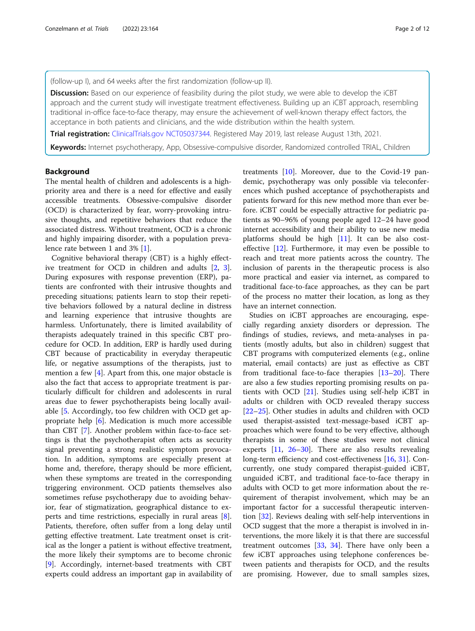(follow-up I), and 64 weeks after the first randomization (follow-up II).

Discussion: Based on our experience of feasibility during the pilot study, we were able to develop the iCBT approach and the current study will investigate treatment effectiveness. Building up an iCBT approach, resembling traditional in-office face-to-face therapy, may ensure the achievement of well-known therapy effect factors, the acceptance in both patients and clinicians, and the wide distribution within the health system.

Trial registration: [ClinicalTrials.gov](http://clinicaltrials.gov) [NCT05037344](mailto:NCT05037344). Registered May 2019, last release August 13th, 2021.

Keywords: Internet psychotherapy, App, Obsessive-compulsive disorder, Randomized controlled TRIAL, Children

# Background

The mental health of children and adolescents is a highpriority area and there is a need for effective and easily accessible treatments. Obsessive-compulsive disorder (OCD) is characterized by fear, worry-provoking intrusive thoughts, and repetitive behaviors that reduce the associated distress. Without treatment, OCD is a chronic and highly impairing disorder, with a population prevalence rate between 1 and 3% [[1\]](#page-9-0).

Cognitive behavioral therapy (CBT) is a highly effective treatment for OCD in children and adults [[2,](#page-9-0) [3](#page-9-0)]. During exposures with response prevention (ERP), patients are confronted with their intrusive thoughts and preceding situations; patients learn to stop their repetitive behaviors followed by a natural decline in distress and learning experience that intrusive thoughts are harmless. Unfortunately, there is limited availability of therapists adequately trained in this specific CBT procedure for OCD. In addition, ERP is hardly used during CBT because of practicability in everyday therapeutic life, or negative assumptions of the therapists, just to mention a few [\[4](#page-9-0)]. Apart from this, one major obstacle is also the fact that access to appropriate treatment is particularly difficult for children and adolescents in rural areas due to fewer psychotherapists being locally available [[5.](#page-9-0) Accordingly, too few children with OCD get appropriate help [[6\]](#page-9-0). Medication is much more accessible than CBT [[7\]](#page-9-0). Another problem within face-to-face settings is that the psychotherapist often acts as security signal preventing a strong realistic symptom provocation. In addition, symptoms are especially present at home and, therefore, therapy should be more efficient, when these symptoms are treated in the corresponding triggering environment. OCD patients themselves also sometimes refuse psychotherapy due to avoiding behavior, fear of stigmatization, geographical distance to experts and time restrictions, especially in rural areas [\[8](#page-9-0)]. Patients, therefore, often suffer from a long delay until getting effective treatment. Late treatment onset is critical as the longer a patient is without effective treatment, the more likely their symptoms are to become chronic [[9\]](#page-9-0). Accordingly, internet-based treatments with CBT experts could address an important gap in availability of treatments [\[10\]](#page-9-0). Moreover, due to the Covid-19 pandemic, psychotherapy was only possible via teleconferences which pushed acceptance of psychotherapists and patients forward for this new method more than ever before. iCBT could be especially attractive for pediatric patients as 90–96% of young people aged 12–24 have good internet accessibility and their ability to use new media platforms should be high [\[11](#page-9-0)]. It can be also costeffective [[12\]](#page-9-0). Furthermore, it may even be possible to reach and treat more patients across the country. The inclusion of parents in the therapeutic process is also more practical and easier via internet, as compared to traditional face-to-face approaches, as they can be part of the process no matter their location, as long as they have an internet connection.

Studies on iCBT approaches are encouraging, especially regarding anxiety disorders or depression. The findings of studies, reviews, and meta-analyses in patients (mostly adults, but also in children) suggest that CBT programs with computerized elements (e.g., online material, email contacts) are just as effective as CBT from traditional face-to-face therapies [[13](#page-9-0)–[20](#page-9-0)]. There are also a few studies reporting promising results on patients with OCD [\[21\]](#page-9-0). Studies using self-help iCBT in adults or children with OCD revealed therapy success [[22](#page-9-0)–[25](#page-10-0)]. Other studies in adults and children with OCD used therapist-assisted text-message-based iCBT approaches which were found to be very effective, although therapists in some of these studies were not clinical experts [\[11](#page-9-0), [26](#page-10-0)–[30\]](#page-10-0). There are also results revealing long-term efficiency and cost-effectiveness [[16,](#page-9-0) [31\]](#page-10-0). Concurrently, one study compared therapist-guided iCBT, unguided iCBT, and traditional face-to-face therapy in adults with OCD to get more information about the requirement of therapist involvement, which may be an important factor for a successful therapeutic intervention [[32](#page-10-0)]. Reviews dealing with self-help interventions in OCD suggest that the more a therapist is involved in interventions, the more likely it is that there are successful treatment outcomes [\[33](#page-10-0), [34](#page-10-0)]. There have only been a few iCBT approaches using telephone conferences between patients and therapists for OCD, and the results are promising. However, due to small samples sizes,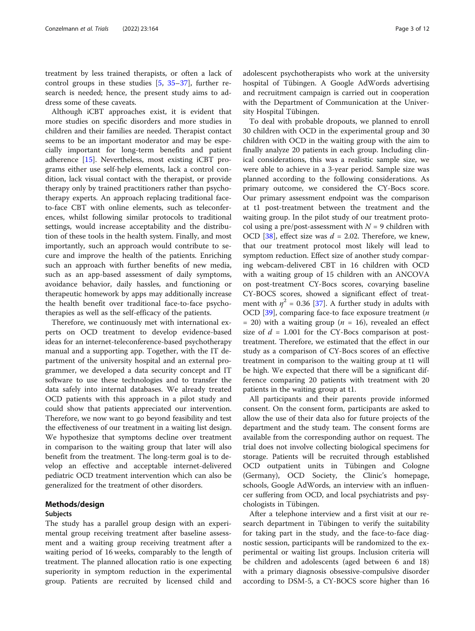treatment by less trained therapists, or often a lack of control groups in these studies [\[5](#page-9-0), [35](#page-10-0)–[37\]](#page-10-0), further research is needed; hence, the present study aims to address some of these caveats.

Although iCBT approaches exist, it is evident that more studies on specific disorders and more studies in children and their families are needed. Therapist contact seems to be an important moderator and may be especially important for long-term benefits and patient adherence [\[15](#page-9-0)]. Nevertheless, most existing iCBT programs either use self-help elements, lack a control condition, lack visual contact with the therapist, or provide therapy only by trained practitioners rather than psychotherapy experts. An approach replacing traditional faceto-face CBT with online elements, such as teleconferences, whilst following similar protocols to traditional settings, would increase acceptability and the distribution of these tools in the health system. Finally, and most importantly, such an approach would contribute to secure and improve the health of the patients. Enriching such an approach with further benefits of new media, such as an app-based assessment of daily symptoms, avoidance behavior, daily hassles, and functioning or therapeutic homework by apps may additionally increase the health benefit over traditional face-to-face psychotherapies as well as the self-efficacy of the patients.

Therefore, we continuously met with international experts on OCD treatment to develop evidence-based ideas for an internet-teleconference-based psychotherapy manual and a supporting app. Together, with the IT department of the university hospital and an external programmer, we developed a data security concept and IT software to use these technologies and to transfer the data safely into internal databases. We already treated OCD patients with this approach in a pilot study and could show that patients appreciated our intervention. Therefore, we now want to go beyond feasibility and test the effectiveness of our treatment in a waiting list design. We hypothesize that symptoms decline over treatment in comparison to the waiting group that later will also benefit from the treatment. The long-term goal is to develop an effective and acceptable internet-delivered pediatric OCD treatment intervention which can also be generalized for the treatment of other disorders.

# Methods/design

# Subjects

The study has a parallel group design with an experimental group receiving treatment after baseline assessment and a waiting group receiving treatment after a waiting period of 16 weeks, comparably to the length of treatment. The planned allocation ratio is one expecting superiority in symptom reduction in the experimental group. Patients are recruited by licensed child and

adolescent psychotherapists who work at the university hospital of Tübingen. A Google AdWords advertising and recruitment campaign is carried out in cooperation with the Department of Communication at the University Hospital Tübingen.

To deal with probable dropouts, we planned to enroll 30 children with OCD in the experimental group and 30 children with OCD in the waiting group with the aim to finally analyze 20 patients in each group. Including clinical considerations, this was a realistic sample size, we were able to achieve in a 3-year period. Sample size was planned according to the following considerations. As primary outcome, we considered the CY-Bocs score. Our primary assessment endpoint was the comparison at t1 post-treatment between the treatment and the waiting group. In the pilot study of our treatment protocol using a pre/post-assessment with  $N = 9$  children with OCD [[38\]](#page-10-0), effect size was  $d = 2.02$ . Therefore, we knew, that our treatment protocol most likely will lead to symptom reduction. Effect size of another study comparing webcam-delivered CBT in 16 children with OCD with a waiting group of 15 children with an ANCOVA on post-treatment CY-Bocs scores, covarying baseline CY-BOCS scores, showed a significant effect of treatment with  $\eta^2$  = 0.36 [\[37](#page-10-0)]. A further study in adults with OCD [\[39](#page-10-0)], comparing face-to face exposure treatment  $(n)$ = 20) with a waiting group ( $n = 16$ ), revealed an effect size of  $d = 1.001$  for the CY-Bocs comparison at posttreatment. Therefore, we estimated that the effect in our study as a comparison of CY-Bocs scores of an effective treatment in comparison to the waiting group at t1 will be high. We expected that there will be a significant difference comparing 20 patients with treatment with 20 patients in the waiting group at t1.

All participants and their parents provide informed consent. On the consent form, participants are asked to allow the use of their data also for future projects of the department and the study team. The consent forms are available from the corresponding author on request. The trial does not involve collecting biological specimens for storage. Patients will be recruited through established OCD outpatient units in Tübingen and Cologne (Germany), OCD Society, the Clinic's homepage, schools, Google AdWords, an interview with an influencer suffering from OCD, and local psychiatrists and psychologists in Tübingen.

After a telephone interview and a first visit at our research department in Tübingen to verify the suitability for taking part in the study, and the face-to-face diagnostic session, participants will be randomized to the experimental or waiting list groups. Inclusion criteria will be children and adolescents (aged between 6 and 18) with a primary diagnosis obsessive-compulsive disorder according to DSM-5, a CY-BOCS score higher than 16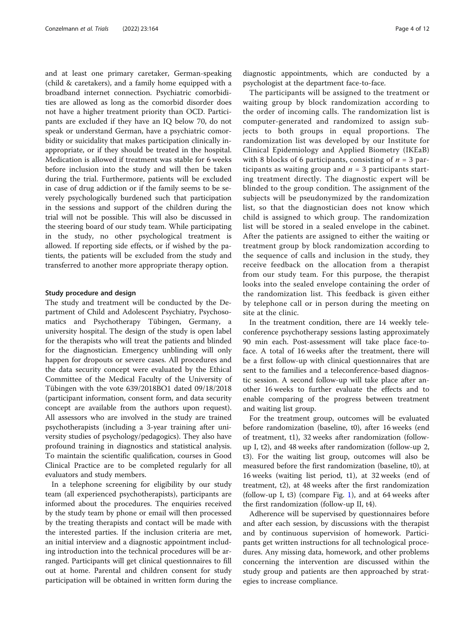and at least one primary caretaker, German-speaking (child & caretakers), and a family home equipped with a broadband internet connection. Psychiatric comorbidities are allowed as long as the comorbid disorder does not have a higher treatment priority than OCD. Participants are excluded if they have an IQ below 70, do not speak or understand German, have a psychiatric comorbidity or suicidality that makes participation clinically inappropriate, or if they should be treated in the hospital. Medication is allowed if treatment was stable for 6 weeks before inclusion into the study and will then be taken during the trial. Furthermore, patients will be excluded in case of drug addiction or if the family seems to be severely psychologically burdened such that participation in the sessions and support of the children during the trial will not be possible. This will also be discussed in the steering board of our study team. While participating in the study, no other psychological treatment is allowed. If reporting side effects, or if wished by the patients, the patients will be excluded from the study and transferred to another more appropriate therapy option.

# Study procedure and design

The study and treatment will be conducted by the Department of Child and Adolescent Psychiatry, Psychosomatics and Psychotherapy Tübingen, Germany, a university hospital. The design of the study is open label for the therapists who will treat the patients and blinded for the diagnostician. Emergency unblinding will only happen for dropouts or severe cases. All procedures and the data security concept were evaluated by the Ethical Committee of the Medical Faculty of the University of Tübingen with the vote 639/2018BO1 dated 09/18/2018 (participant information, consent form, and data security concept are available from the authors upon request). All assessors who are involved in the study are trained psychotherapists (including a 3-year training after university studies of psychology/pedagogics). They also have profound training in diagnostics and statistical analysis. To maintain the scientific qualification, courses in Good Clinical Practice are to be completed regularly for all evaluators and study members.

In a telephone screening for eligibility by our study team (all experienced psychotherapists), participants are informed about the procedures. The enquiries received by the study team by phone or email will then processed by the treating therapists and contact will be made with the interested parties. If the inclusion criteria are met, an initial interview and a diagnostic appointment including introduction into the technical procedures will be arranged. Participants will get clinical questionnaires to fill out at home. Parental and children consent for study participation will be obtained in written form during the diagnostic appointments, which are conducted by a psychologist at the department face-to-face.

The participants will be assigned to the treatment or waiting group by block randomization according to the order of incoming calls. The randomization list is computer-generated and randomized to assign subjects to both groups in equal proportions. The randomization list was developed by our Institute for Clinical Epidemiology and Applied Biometry (IKEaB) with 8 blocks of 6 participants, consisting of  $n = 3$  participants as waiting group and  $n = 3$  participants starting treatment directly. The diagnostic expert will be blinded to the group condition. The assignment of the subjects will be pseudonymized by the randomization list, so that the diagnostician does not know which child is assigned to which group. The randomization list will be stored in a sealed envelope in the cabinet. After the patients are assigned to either the waiting or treatment group by block randomization according to the sequence of calls and inclusion in the study, they receive feedback on the allocation from a therapist from our study team. For this purpose, the therapist looks into the sealed envelope containing the order of the randomization list. This feedback is given either by telephone call or in person during the meeting on site at the clinic.

In the treatment condition, there are 14 weekly teleconference psychotherapy sessions lasting approximately 90 min each. Post-assessment will take place face-toface. A total of 16 weeks after the treatment, there will be a first follow-up with clinical questionnaires that are sent to the families and a teleconference-based diagnostic session. A second follow-up will take place after another 16 weeks to further evaluate the effects and to enable comparing of the progress between treatment and waiting list group.

For the treatment group, outcomes will be evaluated before randomization (baseline, t0), after 16 weeks (end of treatment, t1), 32 weeks after randomization (followup I, t2), and 48 weeks after randomization (follow-up 2, t3). For the waiting list group, outcomes will also be measured before the first randomization (baseline, t0), at 16 weeks (waiting list period, t1), at 32 weeks (end of treatment, t2), at 48 weeks after the first randomization (follow-up I, t3) (compare Fig. [1\)](#page-4-0), and at 64 weeks after the first randomization (follow-up II, t4).

Adherence will be supervised by questionnaires before and after each session, by discussions with the therapist and by continuous supervision of homework. Participants get written instructions for all technological procedures. Any missing data, homework, and other problems concerning the intervention are discussed within the study group and patients are then approached by strategies to increase compliance.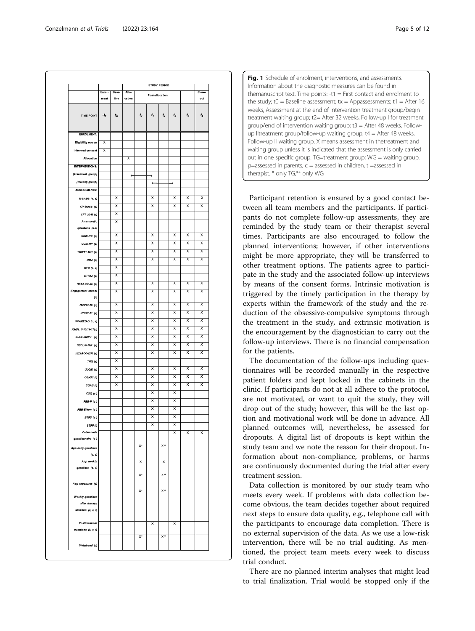<span id="page-4-0"></span>

| <b>TIME POINT</b>                      | Enrol- | Base-                                              | Allo-                   |                 |                                                    |                      |                         |                                                    | Close-                  |  |
|----------------------------------------|--------|----------------------------------------------------|-------------------------|-----------------|----------------------------------------------------|----------------------|-------------------------|----------------------------------------------------|-------------------------|--|
|                                        | ment   | line                                               | cation                  | Post allocation |                                                    |                      |                         |                                                    | out                     |  |
|                                        | $-t_1$ | $\mathbf{t}_\mathrm{o}$                            |                         | $t_{\rm x}$     | $t_1$                                              | $t_{\sf x}$          | $\boldsymbol{t}_2$      | $t_3$                                              | $t_4$                   |  |
| <b>ENROLMENT:</b>                      |        |                                                    |                         |                 |                                                    |                      |                         |                                                    |                         |  |
| Eligibility screen                     | x      |                                                    |                         |                 |                                                    |                      |                         |                                                    |                         |  |
| Informed consent                       | X      |                                                    |                         |                 |                                                    |                      |                         |                                                    |                         |  |
| Allocation                             |        |                                                    | $\overline{\mathsf{x}}$ |                 |                                                    |                      |                         |                                                    |                         |  |
| <b>INTERVENTIONS:</b>                  |        |                                                    |                         |                 |                                                    |                      |                         |                                                    |                         |  |
| [Treatment group]                      |        |                                                    | ٠                       |                 | ۰                                                  |                      |                         |                                                    |                         |  |
| [Waiting group]                        |        |                                                    |                         |                 | ٠                                                  |                      | ۰                       |                                                    |                         |  |
| <b>ASSESSMENTS:</b>                    |        |                                                    |                         |                 |                                                    |                      |                         |                                                    |                         |  |
| K-SADS (c, e)                          |        | $\overline{\mathsf{x}}$                            |                         |                 | $\overline{\mathsf{x}}$                            |                      | $\overline{\mathsf{x}}$ | $\overline{\mathsf{x}}$                            | $\overline{\mathsf{x}}$ |  |
| CY-BOCS (c)                            |        | X                                                  |                         |                 | X                                                  |                      | X                       | X                                                  | Χ                       |  |
| CFT 20-R $(c)$                         |        | $\overline{\mathsf{x}}$                            |                         |                 |                                                    |                      |                         |                                                    |                         |  |
| Anamnestic                             |        | $\overline{\mathsf{x}}$                            |                         |                 |                                                    |                      |                         |                                                    |                         |  |
| questions (e,c)                        |        |                                                    |                         |                 |                                                    |                      |                         |                                                    |                         |  |
| COIS-RC (c)                            |        | $\overline{\mathsf{x}}$                            |                         |                 | $\overline{\mathsf{x}}$                            |                      | $\overline{\mathsf{x}}$ | $\overline{\mathsf{x}}$                            | $\overline{\mathsf{x}}$ |  |
| COIS-RP (e)                            |        | $\overline{\mathsf{x}}$                            |                         |                 | $\overline{\mathsf{x}}$                            |                      | $\overline{\mathsf{x}}$ | X                                                  | X                       |  |
| YSR/11-18R (c)                         |        | x                                                  |                         |                 | x                                                  |                      | x                       | x                                                  | х                       |  |
| DIKJ (c)                               |        | $\overline{\mathsf{x}}$                            |                         |                 | $\overline{\mathsf{x}}$                            |                      | $\overline{\mathsf{x}}$ | $\overline{\mathsf{x}}$                            | $\overline{\mathsf{x}}$ |  |
| CTQ (c, e)                             |        | $\overline{\mathsf{x}}$                            |                         |                 |                                                    |                      |                         |                                                    |                         |  |
| ETI-KJ (c)                             |        | х                                                  |                         |                 |                                                    |                      |                         |                                                    |                         |  |
| HEXACO-Ju (c)<br>Engagement school     |        | $\overline{\mathsf{x}}$<br>$\overline{\mathsf{x}}$ |                         |                 | $\overline{\mathsf{x}}$<br>$\overline{\mathsf{x}}$ |                      | $\overline{\mathsf{x}}$ | $\overline{\mathsf{x}}$<br>$\overline{\mathsf{x}}$ | $\overline{\mathsf{x}}$ |  |
| (c)                                    |        |                                                    |                         |                 |                                                    |                      | $\overline{\mathsf{x}}$ |                                                    | X                       |  |
| JTCl/12-18 (c)                         |        | $\overline{\mathsf{x}}$                            |                         |                 | $\overline{\mathsf{x}}$                            |                      | $\overline{\mathsf{x}}$ | $\overline{\mathsf{x}}$                            | ᅑ                       |  |
| JTCl/7-11 (e)                          |        | $\overline{\mathsf{x}}$                            |                         |                 | $\overline{\mathsf{x}}$                            |                      | $\overline{\mathsf{x}}$ | $\overline{\mathsf{x}}$                            | X                       |  |
| SCARED-D (c, e)                        |        | х                                                  |                         |                 | x                                                  |                      | x                       | $\overline{\mathsf{x}}$                            | х                       |  |
| KINDL 7-13/14-17(c)                    |        | $\overline{\mathsf{x}}$                            |                         |                 | $\overline{\mathsf{x}}$                            |                      | $\overline{\mathsf{x}}$ | $\overline{\mathsf{x}}$                            | $\overline{\mathsf{x}}$ |  |
| Kiddo-KINDL (e)                        |        | $\overline{\mathsf{x}}$                            |                         |                 | X                                                  |                      | X                       | X                                                  | X                       |  |
| CBCL/6-18R (e)                         |        | х                                                  |                         |                 | x                                                  |                      | x                       | x                                                  | x                       |  |
| HEXACO-ESI (e)                         |        | $\overline{\mathsf{x}}$                            |                         |                 | $\overline{\mathsf{x}}$                            |                      | $\overline{\mathsf{x}}$ | $\overline{\mathsf{x}}$                            | $\overline{\mathsf{x}}$ |  |
| THQ(e)                                 |        | $\overline{\mathsf{x}}$                            |                         |                 |                                                    |                      |                         |                                                    |                         |  |
| ULQIE (e)                              |        | Х                                                  |                         |                 | X                                                  |                      | x                       | Х                                                  | x                       |  |
| CGI-S/I (t)                            |        | $\overline{\mathsf{x}}$                            |                         |                 | $\overline{\mathsf{x}}$                            |                      | $\overline{\mathsf{x}}$ | X                                                  | $\overline{\mathsf{x}}$ |  |
| CGAS (t)                               |        | $\overline{\mathsf{x}}$                            |                         |                 | $\overline{\mathsf{x}}$                            |                      | $\overline{\mathsf{x}}$ | $\overline{\mathsf{x}}$                            | X                       |  |
| CSQ(c)                                 |        |                                                    |                         |                 | $\overline{\mathsf{x}}$                            |                      | $\overline{\mathsf{x}}$ |                                                    |                         |  |
| $FBB-P(c)$                             |        |                                                    |                         |                 | х                                                  |                      | x                       |                                                    |                         |  |
| FBB-Eltern (e)                         |        |                                                    |                         |                 | Х                                                  |                      | x                       |                                                    |                         |  |
| BTPS (e)                               |        |                                                    |                         |                 | $\overline{\mathsf{x}}$                            |                      | $\overline{\mathsf{x}}$ |                                                    |                         |  |
| STFF(t)                                |        |                                                    |                         |                 | X                                                  |                      | X                       |                                                    |                         |  |
| <b>Catamnesis</b><br>questionnaire (e) |        |                                                    |                         |                 |                                                    |                      | X                       | x                                                  | X                       |  |
| App daily questions                    |        |                                                    |                         | $X^*$           |                                                    | $X^{\bullet\bullet}$ |                         |                                                    |                         |  |
| (c, e)                                 |        |                                                    |                         |                 |                                                    |                      |                         |                                                    |                         |  |
| App weekly                             |        |                                                    |                         | x               |                                                    | x                    |                         |                                                    |                         |  |
| questions (c, e)                       |        |                                                    |                         |                 |                                                    |                      |                         |                                                    |                         |  |
|                                        |        |                                                    |                         | X,              |                                                    | $X^{\ast\ast}$       |                         |                                                    |                         |  |
| App exposures (c)                      |        |                                                    |                         |                 |                                                    |                      |                         |                                                    |                         |  |
| <b>Weekly questions</b>                |        |                                                    |                         | $X^*$           |                                                    | $X^{\ast\ast}$       |                         |                                                    |                         |  |
| after therapy                          |        |                                                    |                         |                 |                                                    |                      |                         |                                                    |                         |  |
| sessions $(c, e, t)$                   |        |                                                    |                         |                 |                                                    |                      |                         |                                                    |                         |  |
|                                        |        |                                                    |                         |                 |                                                    |                      |                         |                                                    |                         |  |
| Posttreatment<br>questions (c, e, t)   |        |                                                    |                         |                 | x                                                  |                      | X                       |                                                    |                         |  |
|                                        |        |                                                    |                         | $X^*$           |                                                    | $X^{**}$             |                         |                                                    |                         |  |
|                                        |        |                                                    |                         |                 |                                                    |                      |                         |                                                    |                         |  |

Fig. 1 Schedule of enrolment, interventions, and assessments. Information about the diagnostic measures can be found in themanuscript text. Time points:  $-t1 =$  First contact and enrolment to the study; t0 = Baseline assessment; tx = Appassessments; t1 = After 16 weeks, Assessment at the end of intervention treatment group/begin treatment waiting group; t2= After 32 weeks, Follow-up I for treatment group/end of intervention waiting group; t3 = After 48 weeks, Followup IItreatment group/follow-up waiting group;  $t4 =$  After 48 weeks, Follow-up II waiting group. X means assessment in thetreatment and waiting group unless it is indicated that the assessment is only carried out in one specific group. TG=treatment group; WG = waiting group. p=assessed in parents, c = assessed in children, t =assessed in therapist. \* only TG,\*\* only WG

Participant retention is ensured by a good contact between all team members and the participants. If participants do not complete follow-up assessments, they are reminded by the study team or their therapist several times. Participants are also encouraged to follow the planned interventions; however, if other interventions might be more appropriate, they will be transferred to other treatment options. The patients agree to participate in the study and the associated follow-up interviews by means of the consent forms. Intrinsic motivation is triggered by the timely participation in the therapy by experts within the framework of the study and the reduction of the obsessive-compulsive symptoms through the treatment in the study, and extrinsic motivation is the encouragement by the diagnostician to carry out the follow-up interviews. There is no financial compensation for the patients.

The documentation of the follow-ups including questionnaires will be recorded manually in the respective patient folders and kept locked in the cabinets in the clinic. If participants do not at all adhere to the protocol, are not motivated, or want to quit the study, they will drop out of the study; however, this will be the last option and motivational work will be done in advance. All planned outcomes will, nevertheless, be assessed for dropouts. A digital list of dropouts is kept within the study team and we note the reason for their dropout. Information about non-compliance, problems, or harms are continuously documented during the trial after every treatment session.

Data collection is monitored by our study team who meets every week. If problems with data collection become obvious, the team decides together about required next steps to ensure data quality, e.g., telephone call with the participants to encourage data completion. There is no external supervision of the data. As we use a low-risk intervention, there will be no trial auditing. As mentioned, the project team meets every week to discuss trial conduct.

There are no planned interim analyses that might lead to trial finalization. Trial would be stopped only if the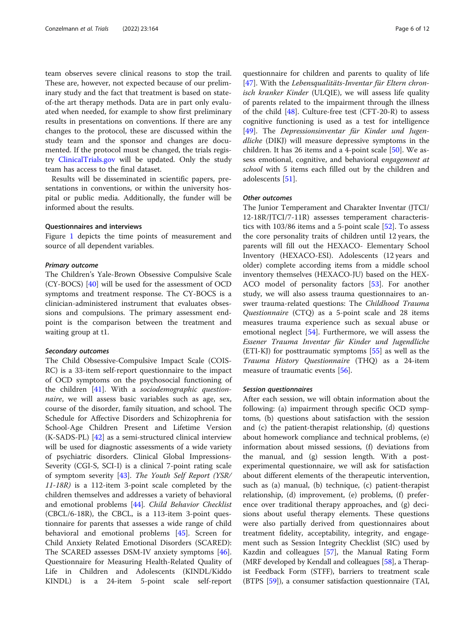team observes severe clinical reasons to stop the trail. These are, however, not expected because of our preliminary study and the fact that treatment is based on stateof-the art therapy methods. Data are in part only evaluated when needed, for example to show first preliminary results in presentations on conventions. If there are any changes to the protocol, these are discussed within the study team and the sponsor and changes are documented. If the protocol must be changed, the trials registry [ClinicalTrials.gov](http://clinicaltrials.gov) will be updated. Only the study team has access to the final dataset.

Results will be disseminated in scientific papers, presentations in conventions, or within the university hospital or public media. Additionally, the funder will be informed about the results.

# Questionnaires and interviews

Figure [1](#page-4-0) depicts the time points of measurement and source of all dependent variables.

# Primary outcome

The Children's Yale-Brown Obsessive Compulsive Scale (CY-BOCS) [[40\]](#page-10-0) will be used for the assessment of OCD symptoms and treatment response. The CY-BOCS is a clinician-administered instrument that evaluates obsessions and compulsions. The primary assessment endpoint is the comparison between the treatment and waiting group at t1.

# Secondary outcomes

The Child Obsessive-Compulsive Impact Scale (COIS-RC) is a 33-item self-report questionnaire to the impact of OCD symptoms on the psychosocial functioning of the children  $[41]$ . With a sociodemographic questionnaire, we will assess basic variables such as age, sex, course of the disorder, family situation, and school. The Schedule for Affective Disorders and Schizophrenia for School-Age Children Present and Lifetime Version (K-SADS-PL) [\[42](#page-10-0)] as a semi-structured clinical interview will be used for diagnostic assessments of a wide variety of psychiatric disorders. Clinical Global Impressions-Severity (CGI-S, SCI-I) is a clinical 7-point rating scale of symptom severity [[43\]](#page-10-0). The Youth Self Report (YSR/ 11-18R) is a 112-item 3-point scale completed by the children themselves and addresses a variety of behavioral and emotional problems [\[44\]](#page-10-0). Child Behavior Checklist (CBCL/6-18R), the CBCL, is a 113-item 3-point questionnaire for parents that assesses a wide range of child behavioral and emotional problems [[45\]](#page-10-0). Screen for Child Anxiety Related Emotional Disorders (SCARED): The SCARED assesses DSM-IV anxiety symptoms [\[46](#page-10-0)]. Questionnaire for Measuring Health-Related Quality of Life in Children and Adolescents (KINDL/Kiddo KINDL) is a 24-item 5-point scale self-report

questionnaire for children and parents to quality of life [[47\]](#page-10-0). With the Lebensqualitäts-Inventar für Eltern chronisch kranker Kinder (ULQIE), we will assess life quality of parents related to the impairment through the illness of the child  $[48]$ . Culture-free test (CFT-20-R) to assess cognitive functioning is used as a test for intelligence [[49\]](#page-10-0). The Depressionsinventar für Kinder und Jugendliche (DIKJ) will measure depressive symptoms in the children. It has 26 items and a 4-point scale [\[50](#page-10-0)]. We assess emotional, cognitive, and behavioral engagement at school with 5 items each filled out by the children and adolescents [\[51](#page-10-0)].

# Other outcomes

The Junior Temperament and Charakter Inventar (JTCI/ 12-18R/JTCI/7-11R) assesses temperament characteristics with  $103/86$  items and a 5-point scale  $[52]$ . To assess the core personality traits of children until 12 years, the parents will fill out the HEXACO- Elementary School Inventory (HEXACO-ESI). Adolescents (12 years and older) complete according items from a middle school inventory themselves (HEXACO-JU) based on the HEX-ACO model of personality factors [[53](#page-10-0)]. For another study, we will also assess trauma questionnaires to answer trauma-related questions: The Childhood Trauma Questionnaire (CTQ) as a 5-point scale and 28 items measures trauma experience such as sexual abuse or emotional neglect [\[54\]](#page-10-0). Furthermore, we will assess the Essener Trauma Inventar für Kinder und Jugendliche (ETI-KJ) for posttraumatic symptoms [\[55](#page-10-0)] as well as the Trauma History Questionnaire (THQ) as a 24-item measure of traumatic events [[56\]](#page-10-0).

# Session questionnaires

After each session, we will obtain information about the following: (a) impairment through specific OCD symptoms, (b) questions about satisfaction with the session and (c) the patient-therapist relationship, (d) questions about homework compliance and technical problems, (e) information about missed sessions, (f) deviations from the manual, and (g) session length. With a postexperimental questionnaire, we will ask for satisfaction about different elements of the therapeutic intervention, such as (a) manual, (b) technique, (c) patient-therapist relationship, (d) improvement, (e) problems, (f) preference over traditional therapy approaches, and (g) decisions about useful therapy elements. These questions were also partially derived from questionnaires about treatment fidelity, acceptability, integrity, and engagement such as Session Integrity Checklist (SIC) used by Kazdin and colleagues [\[57](#page-10-0)], the Manual Rating Form (MRF developed by Kendall and colleagues [[58](#page-10-0)], a Therapist Feedback Form (STFF), barriers to treatment scale (BTPS [\[59\]](#page-10-0)), a consumer satisfaction questionnaire (TAI,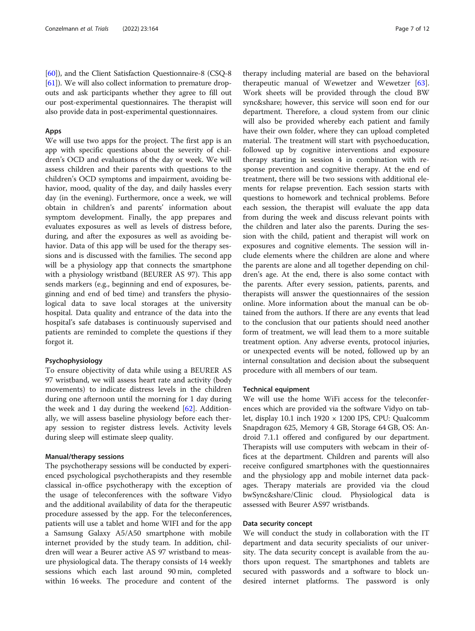[[60](#page-10-0)]), and the Client Satisfaction Questionnaire-8 (CSQ-8 [[61](#page-11-0)]). We will also collect information to premature dropouts and ask participants whether they agree to fill out our post-experimental questionnaires. The therapist will also provide data in post-experimental questionnaires.

# Apps

We will use two apps for the project. The first app is an app with specific questions about the severity of children's OCD and evaluations of the day or week. We will assess children and their parents with questions to the children's OCD symptoms and impairment, avoiding behavior, mood, quality of the day, and daily hassles every day (in the evening). Furthermore, once a week, we will obtain in children's and parents' information about symptom development. Finally, the app prepares and evaluates exposures as well as levels of distress before, during, and after the exposures as well as avoiding behavior. Data of this app will be used for the therapy sessions and is discussed with the families. The second app will be a physiology app that connects the smartphone with a physiology wristband (BEURER AS 97). This app sends markers (e.g., beginning and end of exposures, beginning and end of bed time) and transfers the physiological data to save local storages at the university hospital. Data quality and entrance of the data into the hospital's safe databases is continuously supervised and patients are reminded to complete the questions if they forgot it.

# Psychophysiology

To ensure objectivity of data while using a BEURER AS 97 wristband, we will assess heart rate and activity (body movements) to indicate distress levels in the children during one afternoon until the morning for 1 day during the week and 1 day during the weekend [[62\]](#page-11-0). Additionally, we will assess baseline physiology before each therapy session to register distress levels. Activity levels during sleep will estimate sleep quality.

# Manual/therapy sessions

The psychotherapy sessions will be conducted by experienced psychological psychotherapists and they resemble classical in-office psychotherapy with the exception of the usage of teleconferences with the software Vidyo and the additional availability of data for the therapeutic procedure assessed by the app. For the teleconferences, patients will use a tablet and home WIFI and for the app a Samsung Galaxy A5/A50 smartphone with mobile internet provided by the study team. In addition, children will wear a Beurer active AS 97 wristband to measure physiological data. The therapy consists of 14 weekly sessions which each last around 90 min, completed within 16 weeks. The procedure and content of the

therapy including material are based on the behavioral therapeutic manual of Wewetzer and Wewetzer [\[63](#page-11-0)]. Work sheets will be provided through the cloud BW sync&share; however, this service will soon end for our department. Therefore, a cloud system from our clinic will also be provided whereby each patient and family have their own folder, where they can upload completed material. The treatment will start with psychoeducation, followed up by cognitive interventions and exposure therapy starting in session 4 in combination with response prevention and cognitive therapy. At the end of treatment, there will be two sessions with additional elements for relapse prevention. Each session starts with questions to homework and technical problems. Before each session, the therapist will evaluate the app data from during the week and discuss relevant points with the children and later also the parents. During the session with the child, patient and therapist will work on exposures and cognitive elements. The session will include elements where the children are alone and where the parents are alone and all together depending on children's age. At the end, there is also some contact with the parents. After every session, patients, parents, and therapists will answer the questionnaires of the session online. More information about the manual can be obtained from the authors. If there are any events that lead to the conclusion that our patients should need another form of treatment, we will lead them to a more suitable treatment option. Any adverse events, protocol injuries, or unexpected events will be noted, followed up by an internal consultation and decision about the subsequent procedure with all members of our team.

# Technical equipment

We will use the home WiFi access for the teleconferences which are provided via the software Vidyo on tablet, display 10.1 inch 1920 × 1200 IPS, CPU: Qualcomm Snapdragon 625, Memory 4 GB, Storage 64 GB, OS: Android 7.1.1 offered and configured by our department. Therapists will use computers with webcam in their offices at the department. Children and parents will also receive configured smartphones with the questionnaires and the physiology app and mobile internet data packages. Therapy materials are provided via the cloud bwSync&share/Clinic cloud. Physiological data is assessed with Beurer AS97 wristbands.

# Data security concept

We will conduct the study in collaboration with the IT department and data security specialists of our university. The data security concept is available from the authors upon request. The smartphones and tablets are secured with passwords and a software to block undesired internet platforms. The password is only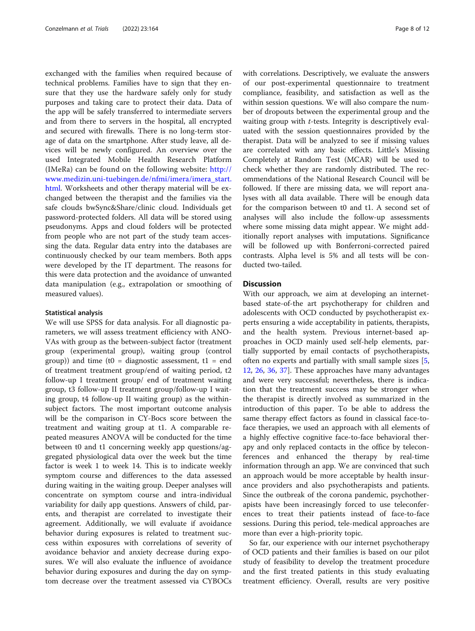exchanged with the families when required because of technical problems. Families have to sign that they ensure that they use the hardware safely only for study purposes and taking care to protect their data. Data of the app will be safely transferred to intermediate servers and from there to servers in the hospital, all encrypted and secured with firewalls. There is no long-term storage of data on the smartphone. After study leave, all devices will be newly configured. An overview over the used Integrated Mobile Health Research Platform (IMeRa) can be found on the following website: [http://](http://www.medizin.uni-tuebingen.de/nfmi/imera/imera_start.html) [www.medizin.uni-tuebingen.de/nfmi/imera/imera\\_start.](http://www.medizin.uni-tuebingen.de/nfmi/imera/imera_start.html) [html.](http://www.medizin.uni-tuebingen.de/nfmi/imera/imera_start.html) Worksheets and other therapy material will be exchanged between the therapist and the families via the safe clouds bwSync&Share/clinic cloud. Individuals get password-protected folders. All data will be stored using pseudonyms. Apps and cloud folders will be protected from people who are not part of the study team accessing the data. Regular data entry into the databases are continuously checked by our team members. Both apps were developed by the IT department. The reasons for this were data protection and the avoidance of unwanted data manipulation (e.g., extrapolation or smoothing of measured values).

# Statistical analysis

We will use SPSS for data analysis. For all diagnostic parameters, we will assess treatment efficiency with ANO-VAs with group as the between-subject factor (treatment group (experimental group), waiting group (control group)) and time (t0 = diagnostic assessment, t1 = end of treatment treatment group/end of waiting period, t2 follow-up I treatment group/ end of treatment waiting group, t3 follow-up II treatment group/follow-up I waiting group, t4 follow-up II waiting group) as the withinsubject factors. The most important outcome analysis will be the comparison in CY-Bocs score between the treatment and waiting group at t1. A comparable repeated measures ANOVA will be conducted for the time between t0 and t1 concerning weekly app questions/aggregated physiological data over the week but the time factor is week 1 to week 14. This is to indicate weekly symptom course and differences to the data assessed during waiting in the waiting group. Deeper analyses will concentrate on symptom course and intra-individual variability for daily app questions. Answers of child, parents, and therapist are correlated to investigate their agreement. Additionally, we will evaluate if avoidance behavior during exposures is related to treatment success within exposures with correlations of severity of avoidance behavior and anxiety decrease during exposures. We will also evaluate the influence of avoidance behavior during exposures and during the day on symptom decrease over the treatment assessed via CYBOCs with correlations. Descriptively, we evaluate the answers of our post-experimental questionnaire to treatment compliance, feasibility, and satisfaction as well as the within session questions. We will also compare the number of dropouts between the experimental group and the waiting group with t-tests. Integrity is descriptively evaluated with the session questionnaires provided by the therapist. Data will be analyzed to see if missing values are correlated with any basic effects. Little's Missing Completely at Random Test (MCAR) will be used to check whether they are randomly distributed. The recommendations of the National Research Council will be followed. If there are missing data, we will report analyses with all data available. There will be enough data for the comparison between t0 and t1. A second set of analyses will also include the follow-up assessments where some missing data might appear. We might additionally report analyses with imputations. Significance will be followed up with Bonferroni-corrected paired contrasts. Alpha level is 5% and all tests will be conducted two-tailed.

# **Discussion**

With our approach, we aim at developing an internetbased state-of-the art psychotherapy for children and adolescents with OCD conducted by psychotherapist experts ensuring a wide acceptability in patients, therapists, and the health system. Previous internet-based approaches in OCD mainly used self-help elements, partially supported by email contacts of psychotherapists, often no experts and partially with small sample sizes [\[5](#page-9-0), [12,](#page-9-0) [26,](#page-10-0) [36](#page-10-0), [37\]](#page-10-0). These approaches have many advantages and were very successful; nevertheless, there is indication that the treatment success may be stronger when the therapist is directly involved as summarized in the introduction of this paper. To be able to address the same therapy effect factors as found in classical face-toface therapies, we used an approach with all elements of a highly effective cognitive face-to-face behavioral therapy and only replaced contacts in the office by teleconferences and enhanced the therapy by real-time information through an app. We are convinced that such an approach would be more acceptable by health insurance providers and also psychotherapists and patients. Since the outbreak of the corona pandemic, psychotherapists have been increasingly forced to use teleconferences to treat their patients instead of face-to-face sessions. During this period, tele-medical approaches are more than ever a high-priority topic.

So far, our experience with our internet psychotherapy of OCD patients and their families is based on our pilot study of feasibility to develop the treatment procedure and the first treated patients in this study evaluating treatment efficiency. Overall, results are very positive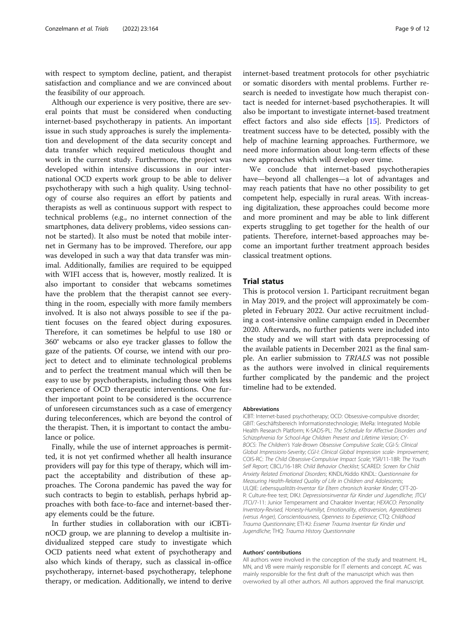with respect to symptom decline, patient, and therapist satisfaction and compliance and we are convinced about the feasibility of our approach.

Although our experience is very positive, there are several points that must be considered when conducting internet-based psychotherapy in patients. An important issue in such study approaches is surely the implementation and development of the data security concept and data transfer which required meticulous thought and work in the current study. Furthermore, the project was developed within intensive discussions in our international OCD experts work group to be able to deliver psychotherapy with such a high quality. Using technology of course also requires an effort by patients and therapists as well as continuous support with respect to technical problems (e.g., no internet connection of the smartphones, data delivery problems, video sessions cannot be started). It also must be noted that mobile internet in Germany has to be improved. Therefore, our app was developed in such a way that data transfer was minimal. Additionally, families are required to be equipped with WIFI access that is, however, mostly realized. It is also important to consider that webcams sometimes have the problem that the therapist cannot see everything in the room, especially with more family members involved. It is also not always possible to see if the patient focuses on the feared object during exposures. Therefore, it can sometimes be helpful to use 180 or 360° webcams or also eye tracker glasses to follow the gaze of the patients. Of course, we intend with our project to detect and to eliminate technological problems and to perfect the treatment manual which will then be easy to use by psychotherapists, including those with less experience of OCD therapeutic interventions. One further important point to be considered is the occurrence of unforeseen circumstances such as a case of emergency during teleconferences, which are beyond the control of the therapist. Then, it is important to contact the ambulance or police.

Finally, while the use of internet approaches is permitted, it is not yet confirmed whether all health insurance providers will pay for this type of therapy, which will impact the acceptability and distribution of these approaches. The Corona pandemic has paved the way for such contracts to begin to establish, perhaps hybrid approaches with both face-to-face and internet-based therapy elements could be the future.

In further studies in collaboration with our iCBTinOCD group, we are planning to develop a multisite individualized stepped care study to investigate which OCD patients need what extent of psychotherapy and also which kinds of therapy, such as classical in-office psychotherapy, internet-based psychotherapy, telephone therapy, or medication. Additionally, we intend to derive internet-based treatment protocols for other psychiatric or somatic disorders with mental problems. Further research is needed to investigate how much therapist contact is needed for internet-based psychotherapies. It will also be important to investigate internet-based treatment effect factors and also side effects [[15\]](#page-9-0). Predictors of treatment success have to be detected, possibly with the help of machine learning approaches. Furthermore, we need more information about long-term effects of these new approaches which will develop over time.

We conclude that internet-based psychotherapies have—beyond all challenges—a lot of advantages and may reach patients that have no other possibility to get competent help, especially in rural areas. With increasing digitalization, these approaches could become more and more prominent and may be able to link different experts struggling to get together for the health of our patients. Therefore, internet-based approaches may become an important further treatment approach besides classical treatment options.

# Trial status

This is protocol version 1. Participant recruitment began in May 2019, and the project will approximately be completed in February 2022. Our active recruitment including a cost-intensive online campaign ended in December 2020. Afterwards, no further patients were included into the study and we will start with data preprocessing of the available patients in December 2021 as the final sample. An earlier submission to TRIALS was not possible as the authors were involved in clinical requirements further complicated by the pandemic and the project timeline had to be extended.

#### Abbreviations

iCBT: Internet-based psychotherapy; OCD: Obsessive-compulsive disorder; GBIT: Geschäftsbereich Informationstechnologie; IMeRa: Integrated Mobile Health Research Platform; K-SADS-PL: The Schedule for Affective Disorders and Schizophrenia for School-Age Children Present and Lifetime Version; CY-BOCS: The Children's Yale-Brown Obsessive Compulsive Scale; CGI-S: Clinical Global Impressions-Severity; CGI-I: Clinical Global Impression scale- Improvement; COIS-RC: The Child Obsessive-Compulsive Impact Scale; YSR/11-18R: The Youth Self Report; CBCL/16-18R: Child Behavior Checklist; SCARED: Screen for Child Anxiety Related Emotional Disorders; KINDL/Kiddo KINDL: Questionnaire for Measuring Health-Related Quality of Life in Children and Adolescents; ULQIE: Lebensqualitäts-Inventar für Eltern chronisch kranker Kinder; CFT-20- R: Culture-free test; DIKJ: Depressionsinventar für Kinder und Jugendliche; JTCI/ JTCI/7-11: Junior Temperament and Charakter Inventar; HEXACO: Personality Inventory-Revised, Honesty-Humiliyt, Emotionality, eXtraversion, Agreeableness (versus Anger), Conscientiousness, Openness to Experience; CTQ: Childhood Trauma Questionnaire; ETI-KJ: Essener Trauma Inventar für Kinder und Jugendliche; THQ: Trauma History Questionnaire

# Authors' contributions

All authors were involved in the conception of the study and treatment. HL, MN, and VB were mainly responsible for IT elements and concept. AC was mainly responsible for the first draft of the manuscript which was then overworked by all other authors. All authors approved the final manuscript.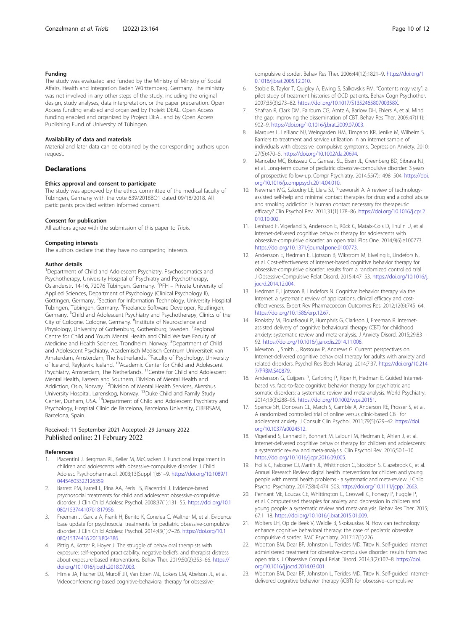# <span id="page-9-0"></span>Funding

The study was evaluated and funded by the Ministry of Ministry of Social Affairs, Health and Integration Baden Württemberg, Germany. The ministry was not involved in any other steps of the study, including the original design, study analyses, data interpretation, or the paper preparation. Open Access funding enabled and organized by Projekt DEAL. Open Access funding enabled and organized by Project DEAL and by Open Access Publishing Fund of University of Tübingen.

# Availability of data and materials

Material and later data can be obtained by the corresponding authors upon request.

# **Declarations**

# Ethics approval and consent to participate

The study was approved by the ethics committee of the medical faculty of Tübingen, Germany with the vote 639/2018BO1 dated 09/18/2018. All participants provided written informed consent.

# Consent for publication

All authors agree with the submission of this paper to Trials.

## Competing interests

The authors declare that they have no competing interests.

# Author details

<sup>1</sup>Department of Child and Adolescent Psychiatry, Psychosomatics and Psychotherapy, University Hospital of Psychiatry and Psychotherapy, Osianderstr. 14-16, 72076 Tübingen, Germany. <sup>2</sup>PFH – Private University of Applied Sciences, Department of Psychology (Clinical Psychology II), Göttingen, Germany. <sup>3</sup>Section for Information Technology, University Hospital Tübingen, Tübingen, Germany. <sup>4</sup> Freelance Software Developer, Reutlingen, Germany. <sup>5</sup>Child and Adolescent Psychiatry and Psychotherapy, Clinics of the City of Cologne, Cologne, Germany. <sup>6</sup>Institute of Neuroscience and Physiology, University of Gothenburg, Gothenburg, Sweden. <sup>7</sup>Regional Centre for Child and Youth Mental Health and Child Welfare Faculty of Medicine and Health Sciences, Trondheim, Norway. <sup>8</sup>Department of Child and Adolescent Psychiatry, Academisch Medisch Centrum Universiteit van Amsterdam, Amsterdam, The Netherlands. <sup>9</sup>Faculty of Psychology, University of Iceland, Reykjavik, Iceland. 10Academic Center for Child and Adolescent Psychiatry, Amsterdam, The Netherlands. <sup>11</sup>Centre for Child and Adolescent Mental Health, Eastern and Southern, Division of Mental Health and Addiction, Oslo, Norway. <sup>12</sup>Division of Mental Health Services, Akershus University Hospital, Lørenskog, Norway. 13Duke Child and Family Study Center, Durham, USA. 14Department of Child and Adolescent Psychiatry and Psychology, Hospital Clínic de Barcelona, Barcelona University, CIBERSAM, Barcelona, Spain.

# Received: 11 September 2021 Accepted: 29 January 2022 Published online: 21 February 2022

### References

- 1. Piacentini J, Bergman RL, Keller M, McCracken J. Functional impairment in children and adolescents with obsessive-compulsive disorder. J Child Adolesc Psychopharmacol. 2003;13(Suppl 1):61–9. [https://doi.org/10.1089/1](https://doi.org/10.1089/104454603322126359) [04454603322126359.](https://doi.org/10.1089/104454603322126359)
- 2. Barrett PM, Farrell L, Pina AA, Peris TS, Piacentini J. Evidence-based psychosocial treatments for child and adolescent obsessive-compulsive disorder. J Clin Child Adolesc Psychol. 2008;37(1):131–55. [https://doi.org/10.1](https://doi.org/10.1080/15374410701817956) [080/15374410701817956](https://doi.org/10.1080/15374410701817956).
- Freeman J, Garcia A, Frank H, Benito K, Conelea C, Walther M, et al. Evidence base update for psychosocial treatments for pediatric obsessive-compulsive disorder. J Clin Child Adolesc Psychol. 2014;43(1):7–26. [https://doi.org/10.1](https://doi.org/10.1080/15374416.2013.804386) [080/15374416.2013.804386](https://doi.org/10.1080/15374416.2013.804386).
- 4. Pittig A, Kotter R, Hoyer J. The struggle of behavioral therapists with exposure: self-reported practicability, negative beliefs, and therapist distress about exposure-based interventions. Behav Ther. 2019;50(2):353–66. [https://](https://doi.org/10.1016/j.beth.2018.07.003) [doi.org/10.1016/j.beth.2018.07.003](https://doi.org/10.1016/j.beth.2018.07.003).
- 5. Himle JA, Fischer DJ, Muroff JR, Van Etten ML, Lokers LM, Abelson JL, et al. Videoconferencing-based cognitive-behavioral therapy for obsessive-

compulsive disorder. Behav Res Ther. 2006;44(12):1821–9. [https://doi.org/1](https://doi.org/10.1016/j.brat.2005.12.010) [0.1016/j.brat.2005.12.010.](https://doi.org/10.1016/j.brat.2005.12.010)

- 6. Stobie B, Taylor T, Quigley A, Ewing S, Salkovskis PM. "Contents may vary": a pilot study of treatment histories of OCD patients. Behav Cogn Psychother. 2007;35(3):273–82. <https://doi.org/10.1017/S135246580700358X>.
- 7. Shafran R, Clark DM, Fairburn CG, Arntz A, Barlow DH, Ehlers A, et al. Mind the gap: improving the dissemination of CBT. Behav Res Ther. 2009;47(11): 902–9. [https://doi.org/10.1016/j.brat.2009.07.003.](https://doi.org/10.1016/j.brat.2009.07.003)
- 8. Marques L, LeBlanc NJ, Weingarden HM, Timpano KR, Jenike M, Wilhelm S. Barriers to treatment and service utilization in an internet sample of individuals with obsessive–compulsive symptoms. Depression Anxiety. 2010; 27(5):470–5. [https://doi.org/10.1002/da.20694.](https://doi.org/10.1002/da.20694)
- 9. Mancebo MC, Boisseau CL, Garnaat SL, Eisen JL, Greenberg BD, Sibrava NJ, et al. Long-term course of pediatric obsessive-compulsive disorder: 3 years of prospective follow-up. Compr Psychiatry. 2014;55(7):1498–504. [https://doi.](https://doi.org/10.1016/j.comppsych.2014.04.010) [org/10.1016/j.comppsych.2014.04.010.](https://doi.org/10.1016/j.comppsych.2014.04.010)
- 10. Newman MG, Szkodny LE, Llera SJ, Przeworski A. A review of technologyassisted self-help and minimal contact therapies for drug and alcohol abuse and smoking addiction: is human contact necessary for therapeutic efficacy? Clin Psychol Rev. 2011;31(1):178–86. [https://doi.org/10.1016/j.cpr.2](https://doi.org/10.1016/j.cpr.2010.10.002) [010.10.002](https://doi.org/10.1016/j.cpr.2010.10.002).
- 11. Lenhard F, Vigerland S, Andersson E, Rück C, Mataix-Cols D, Thulin U, et al. Internet-delivered cognitive behavior therapy for adolescents with obsessive-compulsive disorder: an open trial. Plos One. 2014;9(6):e100773. [https://doi.org/10.1371/journal.pone.0100773.](https://doi.org/10.1371/journal.pone.0100773)
- 12. Andersson E, Hedman E, Ljotsson B, Wikstrom M, Elveling E, Lindefors N, et al. Cost-effectiveness of internet-based cognitive behavior therapy for obsessive-compulsive disorder: results from a randomized controlled trial. J Obsessive-Compulsive Relat Disord. 2015;4:47–53. [https://doi.org/10.1016/j.](https://doi.org/10.1016/j.jocrd.2014.12.004) [jocrd.2014.12.004](https://doi.org/10.1016/j.jocrd.2014.12.004).
- 13. Hedman E, Ljotsson B, Lindefors N. Cognitive behavior therapy via the Internet: a systematic review of applications, clinical efficacy and costeffectiveness. Expert Rev Pharmacoecon Outcomes Res. 2012;12(6):745–64. <https://doi.org/10.1586/erp.12.67>.
- 14. Rooksby M, Elouafkaoui P, Humphris G, Clarkson J, Freeman R. Internetassisted delivery of cognitive behavioural therapy (CBT) for childhood anxiety: systematic review and meta-analysis. J Anxiety Disord. 2015;29:83– 92. <https://doi.org/10.1016/j.janxdis.2014.11.006>.
- 15. Mewton L, Smith J, Rossouw P, Andrews G. Current perspectives on Internet-delivered cognitive behavioral therapy for adults with anxiety and related disorders. Psychol Res Bbeh Manag. 2014;7:37. [https://doi.org/10.214](https://doi.org/10.2147/PRBM.S40879) [7/PRBM.S40879](https://doi.org/10.2147/PRBM.S40879).
- 16. Andersson G, Cuijpers P, Carlbring P, Riper H, Hedman E. Guided Internetbased vs. face-to-face cognitive behavior therapy for psychiatric and somatic disorders: a systematic review and meta-analysis. World Psychiatry. 2014;13(3):288–95. [https://doi.org/10.1002/wps.20151.](https://doi.org/10.1002/wps.20151)
- 17. Spence SH, Donovan CL, March S, Gamble A, Anderson RE, Prosser S, et al. A randomized controlled trial of online versus clinic-based CBT for adolescent anxiety. J Consult Clin Psychol. 2011;79(5):629–42. [https://doi.](https://doi.org/10.1037/a0024512) [org/10.1037/a0024512](https://doi.org/10.1037/a0024512).
- 18. Vigerland S, Lenhard F, Bonnert M, Lalouni M, Hedman E, Ahlen J, et al. Internet-delivered cognitive behavior therapy for children and adolescents: a systematic review and meta-analysis. Clin Psychol Rev. 2016;50:1–10. [https://doi.org/10.1016/j.cpr.2016.09.005.](https://doi.org/10.1016/j.cpr.2016.09.005)
- 19. Hollis C, Falconer CJ, Martin JL, Whittington C, Stockton S, Glazebrook C, et al. Annual Research Review: digital health interventions for children and young people with mental health problems - a systematic and meta-review. J Child Psychol Psychiatry. 2017;58(4):474–503. [https://doi.org/10.1111/jcpp.12663.](https://doi.org/10.1111/jcpp.12663)
- 20. Pennant ME, Loucas CE, Whittington C, Creswell C, Fonagy P, Fuggle P, et al. Computerised therapies for anxiety and depression in children and young people: a systematic review and meta-analysis. Behav Res Ther. 2015; 67:1–18. <https://doi.org/10.1016/j.brat.2015.01.009>.
- 21. Wolters LH, Op de Beek V, Weidle B, Skokauskas N. How can technology enhance cognitive behavioral therapy: the case of pediatric obsessive compulsive disorder. BMC Psychiatry. 2017;17(1):226.
- 22. Wootton BM, Dear BF, Johnston L, Terides MD, Titov N. Self-guided internet administered treatment for obsessive-compulsive disorder: results from two open trials. J Obsessive Compul Relat Disord. 2014;3(2):102–8. [https://doi.](https://doi.org/10.1016/j.jocrd.2014.03.001) [org/10.1016/j.jocrd.2014.03.001](https://doi.org/10.1016/j.jocrd.2014.03.001).
- 23. Wootton BM, Dear BF, Johnston L, Terides MD, Titov N. Self-guided internetdelivered cognitive behavior therapy (iCBT) for obsessive–compulsive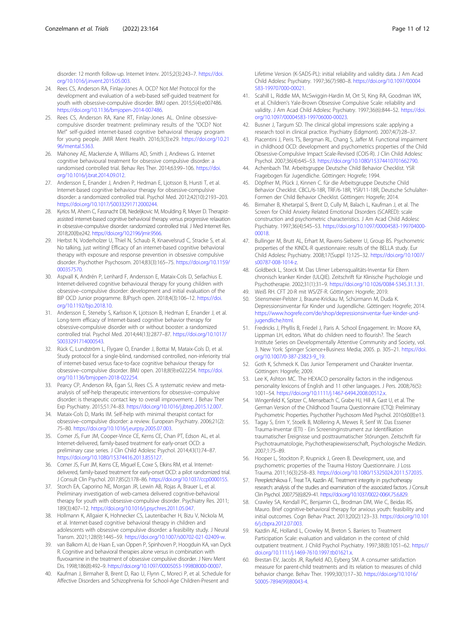<span id="page-10-0"></span>disorder: 12 month follow-up. Internet Interv. 2015;2(3):243–7. [https://doi.](https://doi.org/10.1016/j.invent.2015.05.003) [org/10.1016/j.invent.2015.05.003.](https://doi.org/10.1016/j.invent.2015.05.003)

- 24. Rees CS, Anderson RA, Finlay-Jones A. OCD? Not Me! Protocol for the development and evaluation of a web-based self-guided treatment for youth with obsessive-compulsive disorder. BMJ open. 2015;5(4):e007486. <https://doi.org/10.1136/bmjopen-2014-007486>.
- 25. Rees CS, Anderson RA, Kane RT, Finlay-Jones AL. Online obsessivecompulsive disorder treatment: preliminary results of the "OCD? Not Me!" self-guided internet-based cognitive behavioral therapy program for young people. JMIR Ment Health. 2016;3(3):e29. [https://doi.org/10.21](https://doi.org/10.2196/mental.5363) [96/mental.5363.](https://doi.org/10.2196/mental.5363)
- 26. Mahoney AE, Mackenzie A, Williams AD, Smith J, Andrews G. Internet cognitive behavioural treatment for obsessive compulsive disorder: a randomised controlled trial. Behav Res Ther. 2014;63:99–106. [https://doi.](https://doi.org/10.1016/j.brat.2014.09.012) [org/10.1016/j.brat.2014.09.012](https://doi.org/10.1016/j.brat.2014.09.012).
- 27. Andersson E, Enander J, Andren P, Hedman E, Ljotsson B, Hursti T, et al. Internet-based cognitive behaviour therapy for obsessive-compulsive disorder: a randomized controlled trial. Psychol Med. 2012;42(10):2193–203. [https://doi.org/10.1017/S0033291712000244.](https://doi.org/10.1017/S0033291712000244)
- 28. Kyrios M, Ahern C, Fassnacht DB, Nedeljkovic M, Moulding R, Meyer D. Therapistassisted internet-based cognitive behavioral therapy versus progressive relaxation in obsessive-compulsive disorder: randomized controlled trial. J Med Internet Res. 2018;20(8):e242. [https://doi.org/10.2196/jmir.9566.](https://doi.org/10.2196/jmir.9566)
- 29. Herbst N, Voderholzer U, Thiel N, Schaub R, Knaevelsrud C, Stracke S, et al. No talking, just writing! Efficacy of an internet-based cognitive behavioral therapy with exposure and response prevention in obsessive compulsive disorder. Psychother Psychosom. 2014;83(3):165–75. [https://doi.org/10.1159/](https://doi.org/10.1159/000357570) [000357570](https://doi.org/10.1159/000357570).
- 30. Aspvall K, Andrén P, Lenhard F, Andersson E, Mataix-Cols D, Serlachius E. Internet-delivered cognitive behavioural therapy for young children with obsessive–compulsive disorder: development and initial evaluation of the BIP OCD Junior programme. BJPsych open. 2018;4(3):106–12. [https://doi.](https://doi.org/10.1192/bjo.2018.10) [org/10.1192/bjo.2018.10.](https://doi.org/10.1192/bjo.2018.10)
- 31. Andersson E, Steneby S, Karlsson K, Ljotsson B, Hedman E, Enander J, et al. Long-term efficacy of Internet-based cognitive behavior therapy for obsessive-compulsive disorder with or without booster: a randomized controlled trial. Psychol Med. 2014;44(13):2877–87. [https://doi.org/10.1017/](https://doi.org/10.1017/S0033291714000543) [S0033291714000543.](https://doi.org/10.1017/S0033291714000543)
- 32. Rück C, Lundström L, Flygare O, Enander J, Bottai M, Mataix-Cols D, et al. Study protocol for a single-blind, randomised controlled, non-inferiority trial of internet-based versus face-to-face cognitive behaviour therapy for obsessive–compulsive disorder. BMJ open. 2018;8(9):e022254. [https://doi.](https://doi.org/10.1136/bmjopen-2018-022254) [org/10.1136/bmjopen-2018-022254](https://doi.org/10.1136/bmjopen-2018-022254).
- 33. Pearcy CP, Anderson RA, Egan SJ, Rees CS. A systematic review and metaanalysis of self-help therapeutic interventions for obsessive–compulsive disorder: is therapeutic contact key to overall improvement. J Behav Ther Exp Psychiatry. 2015;51:74–83. [https://doi.org/10.1016/j.jbtep.2015.12.007.](https://doi.org/10.1016/j.jbtep.2015.12.007)
- 34. Mataix-Cols D, Marks IM. Self-help with minimal therapist contact for obsessive–compulsive disorder: a review. European Psychiatry. 2006;21(2): 75–80. <https://doi.org/10.1016/j.eurpsy.2005.07.003>.
- 35. Comer JS, Furr JM, Cooper-Vince CE, Kerns CE, Chan PT, Edson AL, et al. Internet-delivered, family-based treatment for early-onset OCD: a preliminary case series. J Clin Child Adolesc Psychol. 2014;43(1):74–87. [https://doi.org/10.1080/15374416.2013.855127.](https://doi.org/10.1080/15374416.2013.855127)
- 36. Comer JS, Furr JM, Kerns CE, Miguel E, Coxe S, Elkins RM, et al. Internetdelivered, family-based treatment for early-onset OCD: a pilot randomized trial. J Consult Clin Psychol. 2017;85(2):178–86. <https://doi.org/10.1037/ccp0000155>.
- 37. Storch EA, Caporino NE, Morgan JR, Lewin AB, Rojas A, Brauer L, et al. Preliminary investigation of web-camera delivered cognitive-behavioral therapy for youth with obsessive-compulsive disorder. Psychiatry Res. 2011; 189(3):407–12. [https://doi.org/10.1016/j.psychres.2011.05.047.](https://doi.org/10.1016/j.psychres.2011.05.047)
- 38. Hollmann K, Allgaier K, Hohnecker CS, Lautenbacher H, Bizu V, Nickola M, et al. Internet-based cognitive behavioral therapy in children and adolescents with obsessive compulsive disorder: a feasibility study. J Neural Transm. 2021;128(9):1445–59. [https://doi.org/10.1007/s00702-021-02409-w.](https://doi.org/10.1007/s00702-021-02409-w)
- 39. van Balkom AJ, de Haan E, van Oppen P, Spinhoven P, Hoogduin KA, van Dyck R. Cognitive and behavioral therapies alone versus in combination with fluvoxamine in the treatment of obsessive compulsive disorder. J Nerv Ment Dis. 1998;186(8):492–9. <https://doi.org/10.1097/00005053-199808000-00007>.
- 40. Kaufman J, Birmaher B, Brent D, Rao U, Flynn C, Moreci P, et al. Schedule for Affective Disorders and Schizophrenia for School-Age Children-Present and

Lifetime Version (K-SADS-PL): initial reliability and validity data. J Am Acad Child Adolesc Psychiatry. 1997;36(7):980–8. [https://doi.org/10.1097/00004](https://doi.org/10.1097/00004583-199707000-00021) [583-199707000-00021.](https://doi.org/10.1097/00004583-199707000-00021)

- 41. Scahill L, Riddle MA, McSwiggin-Hardin M, Ort SI, King RA, Goodman WK, et al. Children's Yale-Brown Obsessive Compulsive Scale: reliability and validity. J Am Acad Child Adolesc Psychiatry. 1997;36(6):844–52. [https://doi.](https://doi.org/10.1097/00004583-199706000-00023) [org/10.1097/00004583-199706000-00023](https://doi.org/10.1097/00004583-199706000-00023).
- 42. Busner J, Targum SD. The clinical global impressions scale: applying a research tool in clinical practice. Psychiatry (Edgmont). 2007;4(7):28–37.
- 43. Piacentini J, Peris TS, Bergman RL, Chang S, Jaffer M. Functional impairment in childhood OCD: development and psychometrics properties of the Child Obsessive-Compulsive Impact Scale-Revised (COIS-R). J Clin Child Adolesc Psychol. 2007;36(4):645–53. [https://doi.org/10.1080/15374410701662790.](https://doi.org/10.1080/15374410701662790)
- 44. Achenbach TM. Arbeitsgruppe Deutsche Child Behavior Checklist. YSR Fragebogen für Jugendliche. Göttingen: Hogrefe; 1994.
- 45. Döpfner M, Plück J, Kinnen C. für die Arbeitsgruppe Deutsche Child Behavior Checklist. CBCL/6-18R, TRF/6-18R, YSR/11-18R, Deutsche Schulalter-Formen der Child Behavior Checklist. Göttingen: Hogrefe; 2014.
- 46. Birmaher B, Khetarpal S, Brent D, Cully M, Balach L, Kaufman J, et al. The Screen for Child Anxiety Related Emotional Disorders (SCARED): scale construction and psychometric characteristics. J Am Acad Child Adolesc Psychiatry. 1997;36(4):545–53. [https://doi.org/10.1097/00004583-199704000-](https://doi.org/10.1097/00004583-199704000-00018) [00018.](https://doi.org/10.1097/00004583-199704000-00018)
- 47. Bullinger M, Brutt AL, Erhart M, Ravens-Sieberer U, Group BS. Psychometric properties of the KINDL-R questionnaire: results of the BELLA study. Eur Child Adolesc Psychiatry. 2008;17(Suppl 1):125–32. [https://doi.org/10.1007/](https://doi.org/10.1007/s00787-008-1014-z) [s00787-008-1014-z](https://doi.org/10.1007/s00787-008-1014-z).
- 48. Goldbeck L, Storck M. Das Ulmer Lebensqualitäts-Inventar für Eltern chronisch kranker Kinder (ULQIE). Zeitschrift für Klinische Psychologie und Psychotherapie. 2002;31(1):31–9. [https://doi.org/10.1026/0084-5345.31.1.31.](https://doi.org/10.1026/0084-5345.31.1.31)
- 49. Weiß RH. CFT 20-R mit WS/ZF-R. Göttingen: Hogrefe; 2019.
- Stiensmeier-Pelster J, Braune-Krickau M, Schürmann M, Duda K. Depressionsinventar für Kinder und Jugendliche. Göttingen: Hogrefe; 2014. [https://www.hogrefe.com/de/shop/depressionsinventar-fuer-kinder-und](https://www.hogrefe.com/de/shop/depressionsinventar-fuer-kinder-und-jugendliche.html)[jugendliche.html](https://www.hogrefe.com/de/shop/depressionsinventar-fuer-kinder-und-jugendliche.html).
- 51. Fredricks J, Phyllis B, Friedel J, Paris A. School Engagement. In: Moore KA, Lippman LH, editors. What do children need to flourish?. The Search Institute Series on Developmentally Attentive Community and Society, vol. 3. New York: Springer Science+Business Media; 2005. p. 305–21. [https://doi.](https://doi.org/10.1007/0-387-23823-9_19) [org/10.1007/0-387-23823-9\\_19.](https://doi.org/10.1007/0-387-23823-9_19)
- 52. Goth K, Schmeck K. Das Junior Temperament und Charakter Inventar. Göttingen: Hogrefe; 2009.
- 53. Lee K, Ashton MC. The HEXACO personality factors in the indigenous personality lexicons of English and 11 other languages. J Pers. 2008;76(5): 1001–54. [https://doi.org/10.1111/j.1467-6494.2008.00512.x.](https://doi.org/10.1111/j.1467-6494.2008.00512.x)
- 54. Wingenfeld K, Spitzer C, Mensebach C, Grabe HJ, Hill A, Gast U, et al. The German Version of the Childhood Trauma Questionnaire (CTQ): Preliminary Psychometric Properties. Psychother Psychosom Med Psychol. 2010;60(8):e13.
- 55. Tagay S, Erim Y, Stoelk B, Möllering A, Mewes R, Senf W. Das Essener Trauma-Inventar (ETI) - Ein Screeninginstrument zur Identifikation traumatischer Ereignisse und posttraumatischer Störungen. Zeitschrift für Psychotraumatologie, Psychotherapiewissenschaft, Psychologische Medizin. 2007;1:75–89.
- 56. Hooper L, Stockton P, Krupnick J, Green B. Development, use, and psychometric properties of the Trauma History Questionnaire. J Loss Trauma. 2011;16(3):258–83. <https://doi.org/10.1080/15325024.2011.572035>.
- 57. Perepletchikova F, Treat TA, Kazdin AE. Treatment integrity in psychotherapy research: analysis of the studies and examination of the associated factors. J Consult Clin Psychol. 2007;75(6):829–41. [https://doi.org/10.1037/0022-006X.75.6.829.](https://doi.org/10.1037/0022-006X.75.6.829)
- 58. Crawley SA, Kendall PC, Benjamin CL, Brodman DM, Wie C, Beidas RS. Mauro. Brief cognitive-behavioral therapy for anxious youth: feasibility and initial outcomes. Cogn Behav Pract. 2013;20(2):123–33. [https://doi.org/10.101](https://doi.org/10.1016/j.cbpra.2012.07.003) [6/j.cbpra.2012.07.003.](https://doi.org/10.1016/j.cbpra.2012.07.003)
- 59. Kazdin AE, Holland L, Crowley M, Breton S. Barriers to Treatment Participation Scale: evaluation and validation in the context of child outpatient treatment. J Child Psychol Psychiatry. 1997;38(8):1051–62. [https://](https://doi.org/10.1111/j.1469-7610.1997.tb01621.x) [doi.org/10.1111/j.1469-7610.1997.tb01621.x.](https://doi.org/10.1111/j.1469-7610.1997.tb01621.x)
- 60. Brestan EV, Jacobs JR, Rayfield AD, Eyberg SM. A consumer satisfaction measure for parent-child treatments and its relation to measures of child behavior change. Behav Ther. 1999;30(1):17–30. [https://doi.org/10.1016/](https://doi.org/10.1016/S0005-7894(99)80043-4) [S0005-7894\(99\)80043-4](https://doi.org/10.1016/S0005-7894(99)80043-4).